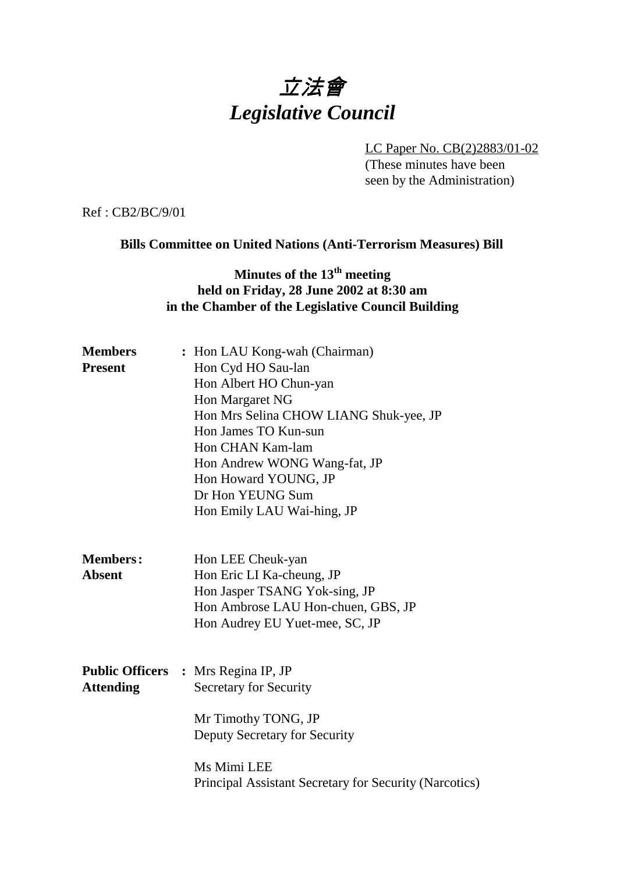# 立法會 *Legislative Council*

LC Paper No. CB(2)2883/01-02 (These minutes have been seen by the Administration)

Ref : CB2/BC/9/01

### **Bills Committee on United Nations (Anti-Terrorism Measures) Bill**

# **Minutes of the 13<sup>th</sup> meeting held on Friday, 28 June 2002 at 8:30 am in the Chamber of the Legislative Council Building**

| <b>Members</b>   | : Hon LAU Kong-wah (Chairman)                          |
|------------------|--------------------------------------------------------|
| <b>Present</b>   | Hon Cyd HO Sau-lan                                     |
|                  | Hon Albert HO Chun-yan                                 |
|                  | Hon Margaret NG                                        |
|                  | Hon Mrs Selina CHOW LIANG Shuk-yee, JP                 |
|                  | Hon James TO Kun-sun                                   |
|                  | Hon CHAN Kam-lam                                       |
|                  | Hon Andrew WONG Wang-fat, JP                           |
|                  | Hon Howard YOUNG, JP                                   |
|                  | Dr Hon YEUNG Sum                                       |
|                  | Hon Emily LAU Wai-hing, JP                             |
|                  |                                                        |
| <b>Members:</b>  | Hon LEE Cheuk-yan                                      |
| <b>Absent</b>    | Hon Eric LI Ka-cheung, JP                              |
|                  | Hon Jasper TSANG Yok-sing, JP                          |
|                  | Hon Ambrose LAU Hon-chuen, GBS, JP                     |
|                  | Hon Audrey EU Yuet-mee, SC, JP                         |
|                  |                                                        |
|                  | <b>Public Officers : Mrs Regina IP, JP</b>             |
| <b>Attending</b> | <b>Secretary for Security</b>                          |
|                  | Mr Timothy TONG, JP                                    |
|                  | Deputy Secretary for Security                          |
|                  | Ms Mimi LEE                                            |
|                  | Principal Assistant Secretary for Security (Narcotics) |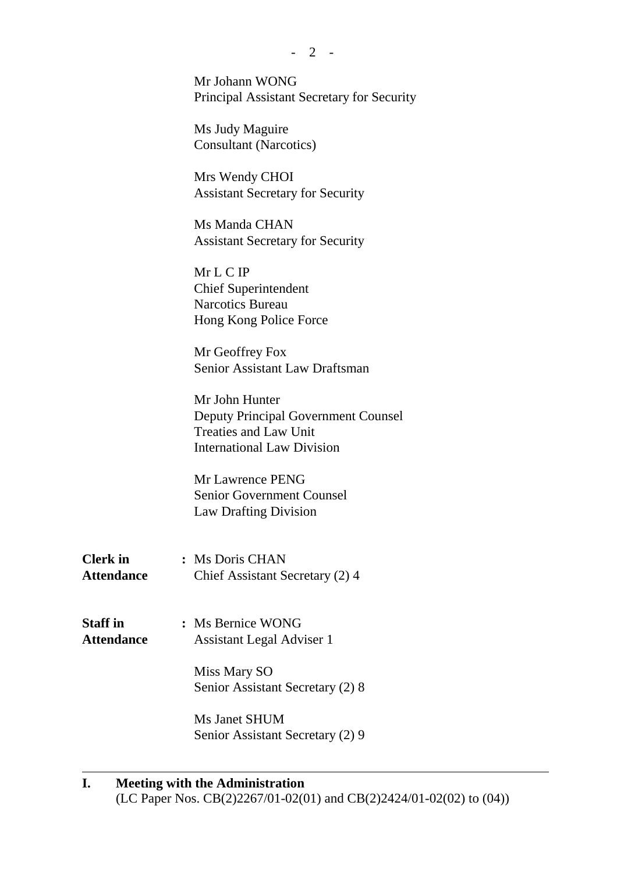$-2 -$ 

Mr Johann WONG Principal Assistant Secretary for Security

Ms Judy Maguire Consultant (Narcotics)

Mrs Wendy CHOI Assistant Secretary for Security

Ms Manda CHAN Assistant Secretary for Security

Mr L C IP Chief Superintendent Narcotics Bureau Hong Kong Police Force

Mr Geoffrey Fox Senior Assistant Law Draftsman

Mr John Hunter Deputy Principal Government Counsel Treaties and Law Unit International Law Division

Mr Lawrence PENG Senior Government Counsel Law Drafting Division

**Clerk in :** Ms Doris CHAN Attendance Chief Assistant Secretary (2) 4

**Staff in :** Ms Bernice WONG **Attendance** Assistant Legal Adviser 1

> Miss Mary SO Senior Assistant Secretary (2) 8

> Ms Janet SHUM Senior Assistant Secretary (2) 9

#### **I. Meeting with the Administration**

ı

(LC Paper Nos. CB(2)2267/01-02(01) and CB(2)2424/01-02(02) to (04))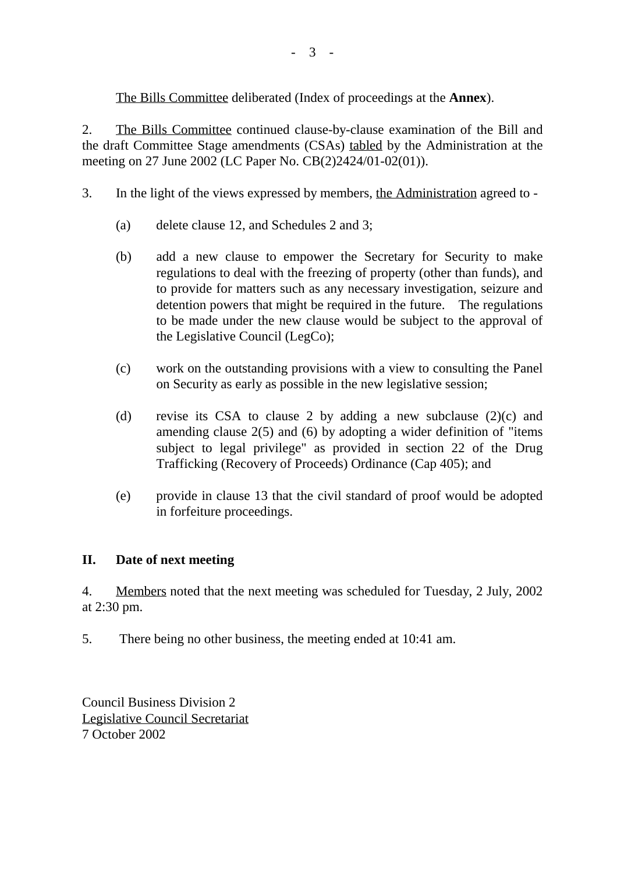The Bills Committee deliberated (Index of proceedings at the **Annex**).

2. The Bills Committee continued clause-by-clause examination of the Bill and the draft Committee Stage amendments (CSAs) tabled by the Administration at the meeting on 27 June 2002 (LC Paper No. CB(2)2424/01-02(01)).

- 3. In the light of the views expressed by members, the Administration agreed to
	- (a) delete clause 12, and Schedules 2 and 3;
	- (b) add a new clause to empower the Secretary for Security to make regulations to deal with the freezing of property (other than funds), and to provide for matters such as any necessary investigation, seizure and detention powers that might be required in the future. The regulations to be made under the new clause would be subject to the approval of the Legislative Council (LegCo);
	- (c) work on the outstanding provisions with a view to consulting the Panel on Security as early as possible in the new legislative session;
	- (d) revise its CSA to clause 2 by adding a new subclause (2)(c) and amending clause 2(5) and (6) by adopting a wider definition of "items subject to legal privilege" as provided in section 22 of the Drug Trafficking (Recovery of Proceeds) Ordinance (Cap 405); and
	- (e) provide in clause 13 that the civil standard of proof would be adopted in forfeiture proceedings.

## **II. Date of next meeting**

4. Members noted that the next meeting was scheduled for Tuesday, 2 July, 2002 at 2:30 pm.

5. There being no other business, the meeting ended at 10:41 am.

Council Business Division 2 Legislative Council Secretariat 7 October 2002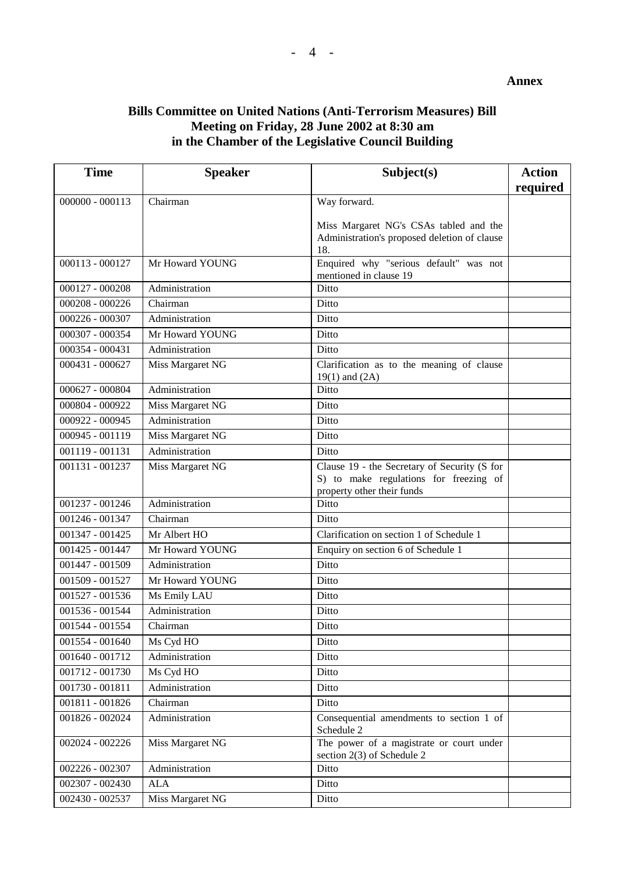#### **Annex**

# **Bills Committee on United Nations (Anti-Terrorism Measures) Bill Meeting on Friday, 28 June 2002 at 8:30 am in the Chamber of the Legislative Council Building**

| <b>Time</b>       | <b>Speaker</b>   | Subject(s)                                                             | <b>Action</b> |
|-------------------|------------------|------------------------------------------------------------------------|---------------|
|                   |                  |                                                                        | required      |
| $000000 - 000113$ | Chairman         | Way forward.                                                           |               |
|                   |                  | Miss Margaret NG's CSAs tabled and the                                 |               |
|                   |                  | Administration's proposed deletion of clause                           |               |
|                   |                  | 18.                                                                    |               |
| 000113 - 000127   | Mr Howard YOUNG  | Enquired why "serious default" was not<br>mentioned in clause 19       |               |
| $000127 - 000208$ | Administration   | Ditto                                                                  |               |
| $000208 - 000226$ | Chairman         | Ditto                                                                  |               |
| 000226 - 000307   | Administration   | Ditto                                                                  |               |
| 000307 - 000354   | Mr Howard YOUNG  | Ditto                                                                  |               |
| 000354 - 000431   | Administration   | Ditto                                                                  |               |
| 000431 - 000627   | Miss Margaret NG | Clarification as to the meaning of clause<br>$19(1)$ and $(2A)$        |               |
| 000627 - 000804   | Administration   | Ditto                                                                  |               |
| 000804 - 000922   | Miss Margaret NG | Ditto                                                                  |               |
| 000922 - 000945   | Administration   | Ditto                                                                  |               |
| 000945 - 001119   | Miss Margaret NG | Ditto                                                                  |               |
| 001119 - 001131   | Administration   | Ditto                                                                  |               |
| 001131 - 001237   | Miss Margaret NG | Clause 19 - the Secretary of Security (S for                           |               |
|                   |                  | S) to make regulations for freezing of                                 |               |
| 001237 - 001246   | Administration   | property other their funds<br>Ditto                                    |               |
|                   |                  |                                                                        |               |
| 001246 - 001347   | Chairman         | Ditto                                                                  |               |
| 001347 - 001425   | Mr Albert HO     | Clarification on section 1 of Schedule 1                               |               |
| 001425 - 001447   | Mr Howard YOUNG  | Enquiry on section 6 of Schedule 1                                     |               |
| 001447 - 001509   | Administration   | Ditto                                                                  |               |
| 001509 - 001527   | Mr Howard YOUNG  | Ditto                                                                  |               |
| 001527 - 001536   | Ms Emily LAU     | Ditto                                                                  |               |
| 001536 - 001544   | Administration   | Ditto                                                                  |               |
| 001544 - 001554   | Chairman         | Ditto                                                                  |               |
| 001554 - 001640   | Ms Cyd HO        | Ditto                                                                  |               |
| 001640 - 001712   | Administration   | Ditto                                                                  |               |
| 001712 - 001730   | Ms Cyd HO        | Ditto                                                                  |               |
| 001730 - 001811   | Administration   | Ditto                                                                  |               |
| 001811 - 001826   | Chairman         | Ditto                                                                  |               |
| 001826 - 002024   | Administration   | Consequential amendments to section 1 of<br>Schedule 2                 |               |
| $002024 - 002226$ | Miss Margaret NG | The power of a magistrate or court under<br>section 2(3) of Schedule 2 |               |
| 002226 - 002307   | Administration   | Ditto                                                                  |               |
| 002307 - 002430   | ALA              | Ditto                                                                  |               |
| 002430 - 002537   | Miss Margaret NG | Ditto                                                                  |               |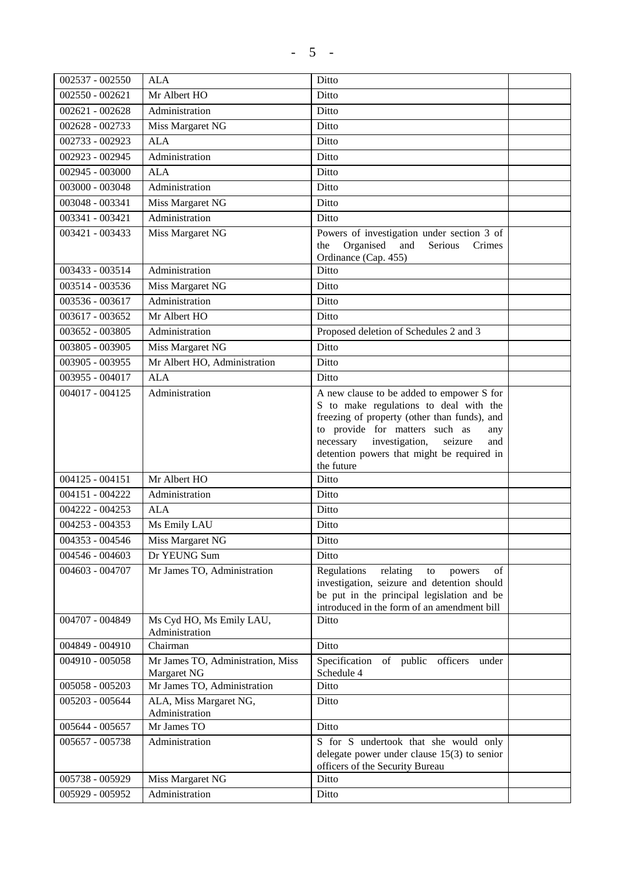| 002537 - 002550   | <b>ALA</b>                                       | Ditto                                                                                                                                                                                                                                                                                     |  |
|-------------------|--------------------------------------------------|-------------------------------------------------------------------------------------------------------------------------------------------------------------------------------------------------------------------------------------------------------------------------------------------|--|
| $002550 - 002621$ | Mr Albert HO                                     | Ditto                                                                                                                                                                                                                                                                                     |  |
| $002621 - 002628$ | Administration                                   | Ditto                                                                                                                                                                                                                                                                                     |  |
| 002628 - 002733   | Miss Margaret NG                                 | Ditto                                                                                                                                                                                                                                                                                     |  |
| 002733 - 002923   | <b>ALA</b>                                       | Ditto                                                                                                                                                                                                                                                                                     |  |
| 002923 - 002945   | Administration                                   | Ditto                                                                                                                                                                                                                                                                                     |  |
| 002945 - 003000   | <b>ALA</b>                                       | Ditto                                                                                                                                                                                                                                                                                     |  |
| 003000 - 003048   | Administration                                   | Ditto                                                                                                                                                                                                                                                                                     |  |
| 003048 - 003341   | Miss Margaret NG                                 | Ditto                                                                                                                                                                                                                                                                                     |  |
| 003341 - 003421   | Administration                                   | Ditto                                                                                                                                                                                                                                                                                     |  |
| 003421 - 003433   | Miss Margaret NG                                 | Powers of investigation under section 3 of<br>Organised and<br>Serious<br>Crimes<br>the<br>Ordinance (Cap. 455)                                                                                                                                                                           |  |
| 003433 - 003514   | Administration                                   | Ditto                                                                                                                                                                                                                                                                                     |  |
| 003514 - 003536   | Miss Margaret NG                                 | Ditto                                                                                                                                                                                                                                                                                     |  |
| 003536 - 003617   | Administration                                   | Ditto                                                                                                                                                                                                                                                                                     |  |
| 003617 - 003652   | Mr Albert HO                                     | Ditto                                                                                                                                                                                                                                                                                     |  |
| 003652 - 003805   | Administration                                   | Proposed deletion of Schedules 2 and 3                                                                                                                                                                                                                                                    |  |
| 003805 - 003905   | Miss Margaret NG                                 | Ditto                                                                                                                                                                                                                                                                                     |  |
| 003905 - 003955   | Mr Albert HO, Administration                     | Ditto                                                                                                                                                                                                                                                                                     |  |
| 003955 - 004017   | <b>ALA</b>                                       | Ditto                                                                                                                                                                                                                                                                                     |  |
| 004017 - 004125   | Administration                                   | A new clause to be added to empower S for<br>S to make regulations to deal with the<br>freezing of property (other than funds), and<br>to provide for matters such as<br>any<br>necessary<br>investigation,<br>seizure<br>and<br>detention powers that might be required in<br>the future |  |
| $004125 - 004151$ | Mr Albert HO                                     | Ditto                                                                                                                                                                                                                                                                                     |  |
| 004151 - 004222   | Administration                                   | Ditto                                                                                                                                                                                                                                                                                     |  |
| 004222 - 004253   | <b>ALA</b>                                       | Ditto                                                                                                                                                                                                                                                                                     |  |
| 004253 - 004353   | Ms Emily LAU                                     | Ditto                                                                                                                                                                                                                                                                                     |  |
| 004353 - 004546   | Miss Margaret NG                                 | Ditto                                                                                                                                                                                                                                                                                     |  |
| 004546 - 004603   | Dr YEUNG Sum                                     | Ditto                                                                                                                                                                                                                                                                                     |  |
| 004603 - 004707   | Mr James TO, Administration                      | Regulations<br>relating<br>of<br>to<br>powers<br>investigation, seizure and detention should<br>be put in the principal legislation and be<br>introduced in the form of an amendment bill                                                                                                 |  |
| 004707 - 004849   | Ms Cyd HO, Ms Emily LAU,<br>Administration       | Ditto                                                                                                                                                                                                                                                                                     |  |
| 004849 - 004910   | Chairman                                         | Ditto                                                                                                                                                                                                                                                                                     |  |
| 004910 - 005058   | Mr James TO, Administration, Miss<br>Margaret NG | Specification of public officers<br>under<br>Schedule 4                                                                                                                                                                                                                                   |  |
| 005058 - 005203   | Mr James TO, Administration                      | Ditto                                                                                                                                                                                                                                                                                     |  |
| 005203 - 005644   | ALA, Miss Margaret NG,<br>Administration         | Ditto                                                                                                                                                                                                                                                                                     |  |
| 005644 - 005657   | Mr James TO                                      | Ditto                                                                                                                                                                                                                                                                                     |  |
| 005657 - 005738   | Administration                                   | S for S undertook that she would only<br>delegate power under clause $15(3)$ to senior<br>officers of the Security Bureau                                                                                                                                                                 |  |
| 005738 - 005929   | Miss Margaret NG                                 | Ditto                                                                                                                                                                                                                                                                                     |  |
| 005929 - 005952   | Administration                                   | Ditto                                                                                                                                                                                                                                                                                     |  |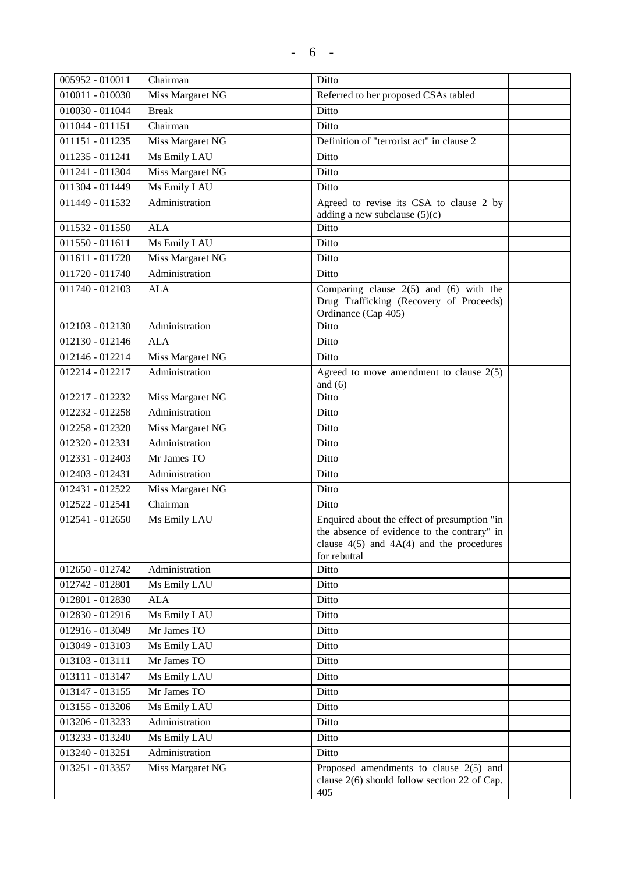| 005952 - 010011   | Chairman         | Ditto                                                                                                                                                       |
|-------------------|------------------|-------------------------------------------------------------------------------------------------------------------------------------------------------------|
| 010011 - 010030   | Miss Margaret NG | Referred to her proposed CSAs tabled                                                                                                                        |
| 010030 - 011044   | <b>Break</b>     | Ditto                                                                                                                                                       |
| 011044 - 011151   | Chairman         | Ditto                                                                                                                                                       |
| 011151 - 011235   | Miss Margaret NG | Definition of "terrorist act" in clause 2                                                                                                                   |
| 011235 - 011241   | Ms Emily LAU     | Ditto                                                                                                                                                       |
| 011241 - 011304   | Miss Margaret NG | Ditto                                                                                                                                                       |
| 011304 - 011449   | Ms Emily LAU     | Ditto                                                                                                                                                       |
| 011449 - 011532   | Administration   | Agreed to revise its CSA to clause 2 by<br>adding a new subclause $(5)(c)$                                                                                  |
| 011532 - 011550   | <b>ALA</b>       | Ditto                                                                                                                                                       |
| $011550 - 011611$ | Ms Emily LAU     | Ditto                                                                                                                                                       |
| 011611 - 011720   | Miss Margaret NG | Ditto                                                                                                                                                       |
| 011720 - 011740   | Administration   | Ditto                                                                                                                                                       |
| 011740 - 012103   | <b>ALA</b>       | Comparing clause $2(5)$ and $(6)$ with the<br>Drug Trafficking (Recovery of Proceeds)<br>Ordinance (Cap 405)                                                |
| $012103 - 012130$ | Administration   | Ditto                                                                                                                                                       |
| 012130 - 012146   | <b>ALA</b>       | Ditto                                                                                                                                                       |
| 012146 - 012214   | Miss Margaret NG | Ditto                                                                                                                                                       |
| 012214 - 012217   | Administration   | Agreed to move amendment to clause $2(5)$<br>and $(6)$                                                                                                      |
| 012217 - 012232   | Miss Margaret NG | Ditto                                                                                                                                                       |
| 012232 - 012258   | Administration   | Ditto                                                                                                                                                       |
| 012258 - 012320   | Miss Margaret NG | Ditto                                                                                                                                                       |
| 012320 - 012331   | Administration   | Ditto                                                                                                                                                       |
| 012331 - 012403   | Mr James TO      | Ditto                                                                                                                                                       |
| 012403 - 012431   | Administration   | Ditto                                                                                                                                                       |
| 012431 - 012522   | Miss Margaret NG | Ditto                                                                                                                                                       |
| 012522 - 012541   | Chairman         | Ditto                                                                                                                                                       |
| 012541 - 012650   | Ms Emily LAU     | Enquired about the effect of presumption "in<br>the absence of evidence to the contrary" in<br>clause $4(5)$ and $4A(4)$ and the procedures<br>for rebuttal |
| 012650 - 012742   | Administration   | Ditto                                                                                                                                                       |
| 012742 - 012801   | Ms Emily LAU     | Ditto                                                                                                                                                       |
| 012801 - 012830   | <b>ALA</b>       | Ditto                                                                                                                                                       |
| 012830 - 012916   | Ms Emily LAU     | Ditto                                                                                                                                                       |
| 012916 - 013049   | Mr James TO      | Ditto                                                                                                                                                       |
| 013049 - 013103   | Ms Emily LAU     | Ditto                                                                                                                                                       |
| 013103 - 013111   | Mr James TO      | Ditto                                                                                                                                                       |
| 013111 - 013147   | Ms Emily LAU     | Ditto                                                                                                                                                       |
| 013147 - 013155   | Mr James TO      | Ditto                                                                                                                                                       |
| 013155 - 013206   | Ms Emily LAU     | Ditto                                                                                                                                                       |
| 013206 - 013233   | Administration   | Ditto                                                                                                                                                       |
| 013233 - 013240   | Ms Emily LAU     | Ditto                                                                                                                                                       |
| 013240 - 013251   | Administration   | Ditto                                                                                                                                                       |
| 013251 - 013357   | Miss Margaret NG | Proposed amendments to clause $2(5)$ and<br>clause $2(6)$ should follow section 22 of Cap.<br>405                                                           |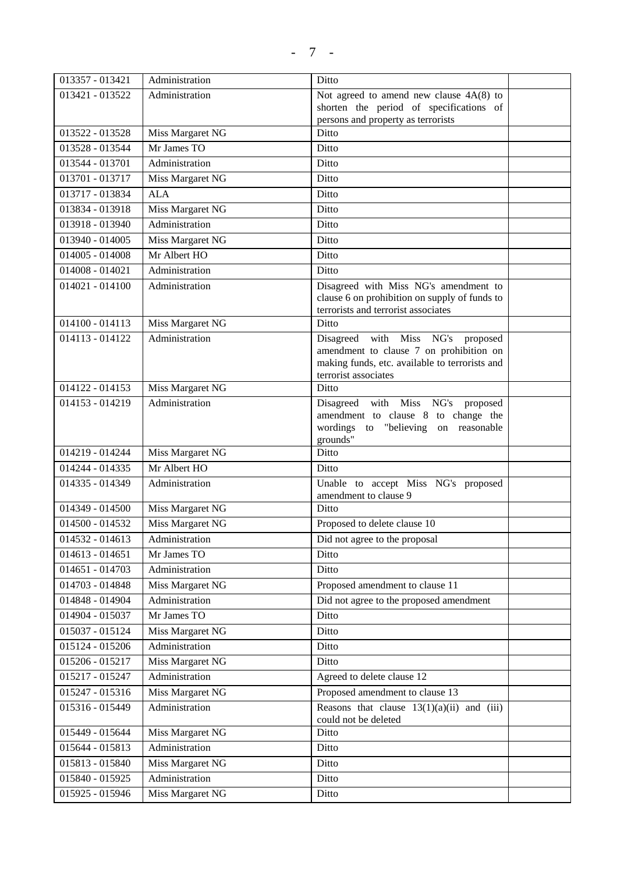| 013357 - 013421   | Administration                     | Ditto                                                                  |  |
|-------------------|------------------------------------|------------------------------------------------------------------------|--|
| 013421 - 013522   | Administration                     | Not agreed to amend new clause $4A(8)$ to                              |  |
|                   |                                    | shorten the period of specifications of                                |  |
| 013522 - 013528   | Miss Margaret NG                   | persons and property as terrorists<br>Ditto                            |  |
| 013528 - 013544   | Mr James TO                        | Ditto                                                                  |  |
| 013544 - 013701   | Administration                     | Ditto                                                                  |  |
| 013701 - 013717   | Miss Margaret NG                   | Ditto                                                                  |  |
| 013717 - 013834   | <b>ALA</b>                         | Ditto                                                                  |  |
| 013834 - 013918   | Miss Margaret NG                   | Ditto                                                                  |  |
| 013918 - 013940   | Administration                     | Ditto                                                                  |  |
| 013940 - 014005   | Miss Margaret NG                   | Ditto                                                                  |  |
| 014005 - 014008   | Mr Albert HO                       | Ditto                                                                  |  |
| 014008 - 014021   | Administration                     | Ditto                                                                  |  |
| $014021 - 014100$ | Administration                     | Disagreed with Miss NG's amendment to                                  |  |
|                   |                                    | clause 6 on prohibition on supply of funds to                          |  |
|                   |                                    | terrorists and terrorist associates                                    |  |
| $014100 - 014113$ | Miss Margaret NG                   | Ditto                                                                  |  |
| 014113 - 014122   | Administration                     | Disagreed with Miss NG's proposed                                      |  |
|                   |                                    | amendment to clause 7 on prohibition on                                |  |
|                   |                                    | making funds, etc. available to terrorists and<br>terrorist associates |  |
| 014122 - 014153   | Miss Margaret NG                   | Ditto                                                                  |  |
| 014153 - 014219   | Administration                     | Disagreed with Miss NG's proposed                                      |  |
|                   |                                    | amendment to clause 8 to change the                                    |  |
|                   |                                    | wordings to "believing on reasonable                                   |  |
| 014219 - 014244   | Miss Margaret NG                   | grounds"<br>Ditto                                                      |  |
| 014244 - 014335   | Mr Albert HO                       | Ditto                                                                  |  |
| 014335 - 014349   | Administration                     | Unable to accept Miss NG's proposed                                    |  |
|                   |                                    | amendment to clause 9                                                  |  |
| 014349 - 014500   | Miss Margaret NG                   | Ditto                                                                  |  |
| 014500 - 014532   | Miss Margaret NG                   | Proposed to delete clause 10                                           |  |
| 014532 - 014613   | Administration                     | Did not agree to the proposal                                          |  |
| $014613 - 014651$ | Mr James TO                        | Ditto                                                                  |  |
| 014651 - 014703   | Administration                     | Ditto                                                                  |  |
| 014703 - 014848   | Miss Margaret NG                   | Proposed amendment to clause 11                                        |  |
| 014848 - 014904   | Administration                     | Did not agree to the proposed amendment                                |  |
| 014904 - 015037   | Mr James TO                        | Ditto                                                                  |  |
| 015037 - 015124   | Miss Margaret NG                   | Ditto                                                                  |  |
| 015124 - 015206   | Administration                     | Ditto                                                                  |  |
| 015206 - 015217   | Miss Margaret NG                   | Ditto                                                                  |  |
| 015217 - 015247   | Administration                     | Agreed to delete clause 12                                             |  |
| 015247 - 015316   | Miss Margaret NG                   | Proposed amendment to clause 13                                        |  |
| 015316 - 015449   | Administration                     | Reasons that clause $13(1)(a)(ii)$ and (iii)                           |  |
| 015449 - 015644   |                                    | could not be deleted                                                   |  |
|                   | Miss Margaret NG<br>Administration | Ditto<br>Ditto                                                         |  |
| 015644 - 015813   |                                    | Ditto                                                                  |  |
| 015813 - 015840   | Miss Margaret NG                   |                                                                        |  |
| 015840 - 015925   | Administration                     | Ditto                                                                  |  |
| 015925 - 015946   | Miss Margaret NG                   | Ditto                                                                  |  |